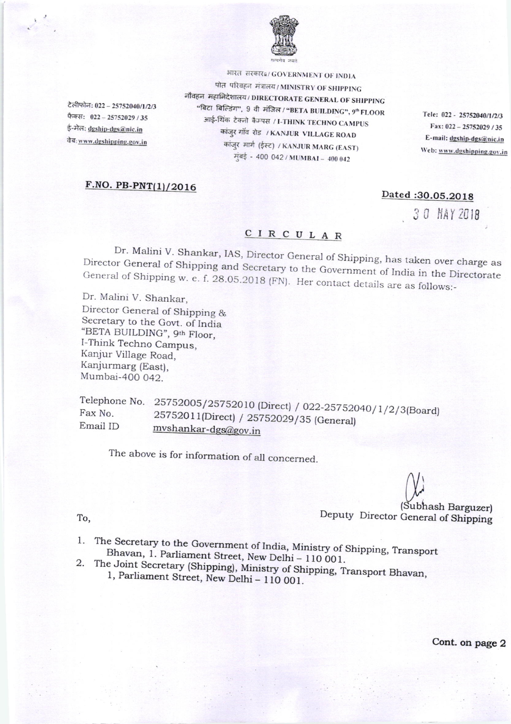

भारत सरकार#/ GOVERNMENT OF INDIA

टेलीफोन: 022 - 25752040/1/2/3 फैक्स: 022 - 25752029 / 35 ई-मेल: dgship-dgs@nic.in वेब: www.dgshipping.gov.in

पोत परिवहन मंत्रालय/MINISTRY OF SHIPPING नौवहन महानिदेशालय/DIRECTORATE GENERAL OF SHIPPING "बिटा बिल्डिंग", 9 वी मंजिल / "BETA BUILDING", 9" FLOOR आई-थिंक टेक्नो कैम्पस / I-THINK TECHNO CAMPUS कांजुर गाँव रोड / KANJUR VILLAGE ROAD कांज़्र मार्ग (ईस्ट) / KANJUR MARG (EAST) मुंबई - 400 042 / MUMBAI - 400 042

Tele: 022 - 25752040/1/2/3 Fax: 022 - 25752029 / 35 E-mail: dgship-dgs@nic.in Web: www.dgshipping.gov.in

## F.NO. PB-PNT(1)/2016

## Dated:30.05.2018

30 MAY 2018

## CIRCULAR

Dr. Malini V. Shankar, IAS, Director General of Shipping, has taken over charge as Director General of Shipping and Secretary to the Government of India in the Directorate General of Shipping w. e. f. 28.05.2018 (FN). Her contact details are as follows:-

Dr. Malini V. Shankar, Director General of Shipping & Secretary to the Govt. of India "BETA BUILDING", 9th Floor, I-Think Techno Campus, Kanjur Village Road, Kanjurmarg (East), Mumbai-400 042.

Telephone No. 25752005/25752010 (Direct) / 022-25752040/1/2/3(Board) 25752011(Direct) / 25752029/35 (General) Email ID mvshankar-dgs@gov.in

The above is for information of all concerned.

(Subhash Barguzer) Deputy Director General of Shipping

To,

- 1. The Secretary to the Government of India, Ministry of Shipping, Transport Bhavan, 1. Parliament Street, New Delhi - 110 001.
- 2. The Joint Secretary (Shipping), Ministry of Shipping, Transport Bhavan, 1, Parliament Street, New Delhi - 110 001.

Cont. on page 2